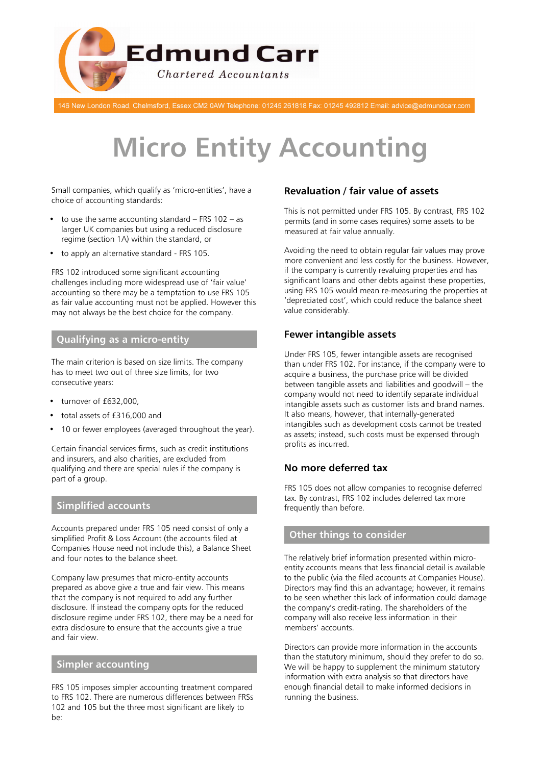

146 New London Road, Chelmsford, Essex CM2 0AW Telephone: 01245 261818 Fax: 01245 492812 Email: advice@edmundcarr.com

# **Micro Entity Accounting**

Small companies, which qualify as 'micro-entities', have a choice of accounting standards:

- to use the same accounting standard  $-$  FRS 102  $-$  as larger UK companies but using a reduced disclosure regime (section 1A) within the standard, or
- to apply an alternative standard FRS 105.

FRS 102 introduced some significant accounting challenges including more widespread use of 'fair value' accounting so there may be a temptation to use FRS 105 as fair value accounting must not be applied. However this may not always be the best choice for the company.

### **Qualifying as a micro-entity**

The main criterion is based on size limits. The company has to meet two out of three size limits, for two consecutive years:

- turnover of £632,000,
- total assets of £316,000 and
- 10 or fewer employees (averaged throughout the year).

Certain financial services firms, such as credit institutions and insurers, and also charities, are excluded from qualifying and there are special rules if the company is part of a group.

#### **Simplified accounts**

Accounts prepared under FRS 105 need consist of only a simplified Profit & Loss Account (the accounts filed at Companies House need not include this), a Balance Sheet and four notes to the balance sheet.

Company law presumes that micro-entity accounts prepared as above give a true and fair view. This means that the company is not required to add any further disclosure. If instead the company opts for the reduced disclosure regime under FRS 102, there may be a need for extra disclosure to ensure that the accounts give a true and fair view.

#### **Simpler accounting**

FRS 105 imposes simpler accounting treatment compared to FRS 102. There are numerous differences between FRSs 102 and 105 but the three most significant are likely to be:

# **Revaluation / fair value of assets**

This is not permitted under FRS 105. By contrast, FRS 102 permits (and in some cases requires) some assets to be measured at fair value annually.

Avoiding the need to obtain regular fair values may prove more convenient and less costly for the business. However, if the company is currently revaluing properties and has significant loans and other debts against these properties, using FRS 105 would mean re-measuring the properties at 'depreciated cost', which could reduce the balance sheet value considerably.

### **Fewer intangible assets**

Under FRS 105, fewer intangible assets are recognised than under FRS 102. For instance, if the company were to acquire a business, the purchase price will be divided between tangible assets and liabilities and goodwill – the company would not need to identify separate individual intangible assets such as customer lists and brand names. It also means, however, that internally-generated intangibles such as development costs cannot be treated as assets; instead, such costs must be expensed through profits as incurred.

# **No more deferred tax**

FRS 105 does not allow companies to recognise deferred tax. By contrast, FRS 102 includes deferred tax more frequently than before.

# **Other things to consider**

The relatively brief information presented within microentity accounts means that less financial detail is available to the public (via the filed accounts at Companies House). Directors may find this an advantage; however, it remains to be seen whether this lack of information could damage the company's credit-rating. The shareholders of the company will also receive less information in their members' accounts.

Directors can provide more information in the accounts than the statutory minimum, should they prefer to do so. We will be happy to supplement the minimum statutory information with extra analysis so that directors have enough financial detail to make informed decisions in running the business.